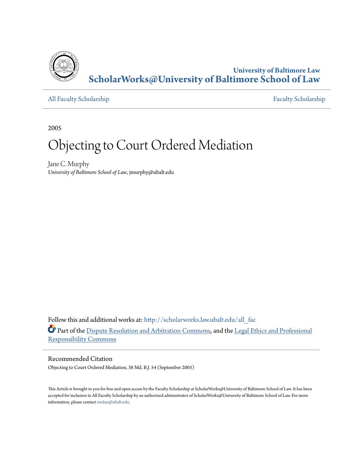

**University of Baltimore Law [ScholarWorks@University of Baltimore School of Law](http://scholarworks.law.ubalt.edu?utm_source=scholarworks.law.ubalt.edu%2Fall_fac%2F25&utm_medium=PDF&utm_campaign=PDFCoverPages)**

[All Faculty Scholarship](http://scholarworks.law.ubalt.edu/all_fac?utm_source=scholarworks.law.ubalt.edu%2Fall_fac%2F25&utm_medium=PDF&utm_campaign=PDFCoverPages) [Faculty Scholarship](http://scholarworks.law.ubalt.edu/faculty?utm_source=scholarworks.law.ubalt.edu%2Fall_fac%2F25&utm_medium=PDF&utm_campaign=PDFCoverPages)

2005

# Objecting to Court Ordered Mediation

Jane C. Murphy *University of Baltimore School of Law*, jmurphy@ubalt.edu

Follow this and additional works at: [http://scholarworks.law.ubalt.edu/all\\_fac](http://scholarworks.law.ubalt.edu/all_fac?utm_source=scholarworks.law.ubalt.edu%2Fall_fac%2F25&utm_medium=PDF&utm_campaign=PDFCoverPages) Part of the [Dispute Resolution and Arbitration Commons](http://network.bepress.com/hgg/discipline/890?utm_source=scholarworks.law.ubalt.edu%2Fall_fac%2F25&utm_medium=PDF&utm_campaign=PDFCoverPages), and the [Legal Ethics and Professional](http://network.bepress.com/hgg/discipline/895?utm_source=scholarworks.law.ubalt.edu%2Fall_fac%2F25&utm_medium=PDF&utm_campaign=PDFCoverPages) [Responsibility Commons](http://network.bepress.com/hgg/discipline/895?utm_source=scholarworks.law.ubalt.edu%2Fall_fac%2F25&utm_medium=PDF&utm_campaign=PDFCoverPages)

#### Recommended Citation

Objecting to Court Ordered Mediation, 38 Md. B.J. 54 (September 2005)

This Article is brought to you for free and open access by the Faculty Scholarship at ScholarWorks@University of Baltimore School of Law. It has been accepted for inclusion in All Faculty Scholarship by an authorized administrator of ScholarWorks@University of Baltimore School of Law. For more information, please contact [snolan@ubalt.edu.](mailto:snolan@ubalt.edu)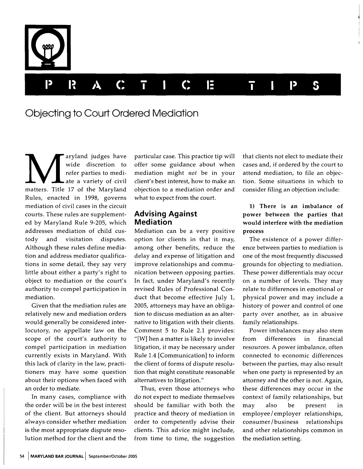

# Objecting to Court Ordered Mediation

aryland judges have<br>wide discretion to<br>refer parties to mediwide discretion to refer parties to mediate a variety of civil matters. Title 17 of the Maryland Rules, enacted in 1998, governs mediation of civil cases in the circuit courts. These rules are supplemented by Maryland Rule 9-205, which addresses mediation of child custody and visitation disputes. Although these rules define mediation and address mediator qualifications in some detail, they say very little about either a party's right to object to mediation or the court's authority to compel participation in mediation.

Given that the mediation rules are relatively new and mediation orders would generally be considered interlocutory, no appellate law on the scope of the court's authority to compel participation in mediation currently exists in Maryland. With this lack of clarity in the law, practitioners may have some question about their options when faced with an order to mediate.

In many cases, compliance with the order will be in the best interest of the client. But attorneys should always consider whether mediation is the most appropriate dispute resolution method for the client and the

particular case. This practice tip will offer some guidance about when mediation might *not* be in your client's best interest, how to make an objection to a mediation order and what to expect from the court.

#### **Advising Against Mediation**

Mediation can be a very positive option for clients in that it may, among other benefits, reduce the delay and expense of litigation and improve relationships and communication between opposing parties. In fact, under Maryland's recently revised Rules of Professional Conduct that become effective July 1, 2005, attorneys may have an obligation to discuss mediation as an alternative to litigation with their clients. Comment 5 to Rule 2.1 provides: "[W] hen a matter is likely to involve litigation, it may be necessary under Rule 1.4 [Communication] to inform the client of forms of dispute resolution that might constitute reasonable alternatives to litigation."

Thus, even those attorneys who do not expect to mediate themselves should be familiar with both the practice and theory of mediation in order to competently advise their clients. This advice might include, from time to time, the suggestion

that clients not elect to mediate their cases and, if ordered by the court to attend mediation, to file an objection. Some situations in which to consider filing an objection include:

## 1) There is an imbalance of power between the parties that would interfere with the mediation process

The existence of a power difference between parties to mediation is one of the most frequently discussed grounds for objecting to mediation. These power differentials may occur on a number of levels. They may relate to differences in emotional or physical power and may include a history of power and control of one party over another, as in abusive family relationships.

Power imbalances may also stem from differences in financial resources. A power imbalance, often connected to economic differences between the parties, may also result when one party is represented by an attorney and the other is not. Again, these differences may occur in the context of family relationships, but may also be present in employee / employer relationships, consumer /business relationships and other relationships common in the mediation setting.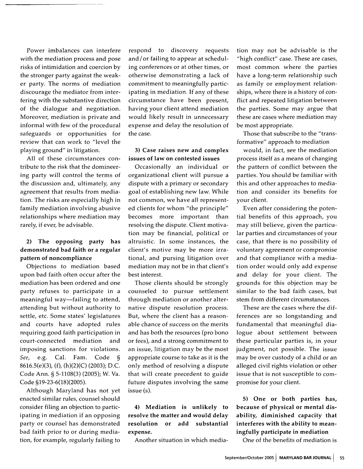Power imbalances can interfere with the mediation process and pose risks of intimidation and coercion by the stronger party against the weaker party. The norms of mediation discourage the mediator from interfering with the substantive direction of the dialogue and negotiation. Moreover, mediation is private and informal with few of the procedural safeguards or opportunities for review that can work to "level the playing ground" in litigation.

All of these circumstances contribute to the risk that the domineering party will control the terms of the discussion and, ultimately, any agreement that results from mediation. The risks are especially high in family mediation involving abusive relationships where mediation may rarely, if ever, be advisable.

## 2) The opposing party has demonstrated bad faith or a regular pattern of noncompliance

Objections to mediation based upon bad faith often occur after the mediation has been ordered and one party refuses to participate in a meaningful way-failing to attend, attending but without authority to settle, etc. Some states' legislatures and courts have adopted rules requiring good faith participation in court-connected mediation and imposing sanctions for violations. See, e.g. Cal. Fam. Code 8616.5(e)(3), (f), (h)(2)(C) (2003); D.C. Code Ann. § 5-1108(3) (2005); W. Va. Code §19-23-6(18)(2005).

Although Maryland has not yet enacted similar rules, counsel should consider filing an objection to participating in mediation if an opposing party or counsel has demonstrated bad faith prior to or during mediation, for example, regularly failing to

respond to discovery requests and / or failing to appear at scheduling conferences or at other times, or otherwise demonstrating a lack of commitment to meaningfully participating in mediation. If any of these circumstance have been present, having your client attend mediation would likely result in unnecessary expense and delay the resolution of the case.

#### 3) Case raises new and complex issues of law on contested issues

Occasionally an individual or organizational client will pursue a dispute with a primary or secondary goal of establishing new law. While not common, we have all represented clients for whom "the principle" becomes more important than resolving the dispute. Client motivation may be financial, political or altruistic. In some instances, the client's motive may be more irrational, and pursing litigation over mediation may not be in that client's best interest.

Those clients should be strongly counseled to pursue settlement through mediation or another alternative dispute resolution process. But, where the client has a reasonable chance of success on the merits and has both the resources (pro bono or fees), and a strong commitment to an issue, litigation may be the most appropriate course to take as it is the only method of resolving a dispute that will create precedent to guide future disputes involving the same issue (s).

4) Mediation is unlikely to resolve the matter and would delay resolution or add substantial expense.

Another situation in which media-

tion may not be advisable is the "high conflict" case. These are cases, most common where the parties have a long-term relationship such as family or employment relationships, where there is a history of conflict and repeated litigation between the parties. Some may argue that these are cases where mediation may be most appropriate.

Those that subscribe to the "transformative" approach to mediation

would, in fact, see the mediation process itself as a means of changing the pattern of conflict between the parties. You should be familiar with this and other approaches to mediation and consider its benefits for your client.

Even after considering the potential benefits of this approach, you may still believe, given the particular parties and circumstances of your case, that there is no possibility of voluntary agreement or compromise and that compliance with a mediation order would only add expense and delay for your client. The grounds for this objection may be similar to the bad faith cases, but stem from different circumstances.

These are the cases where the differences are so longstanding and fundamental that meaningful dialogue about settlement between these particular parties is, in your judgment, not possible. The issue may be over custody of a child or an alleged civil rights violation or other issue that is not susceptible to compromise for your client.

5) One or both parties has, because of physical or mental disability, diminished capacity that interferes with the ability to meaningfully participate in mediation

One of the benefits of mediation is